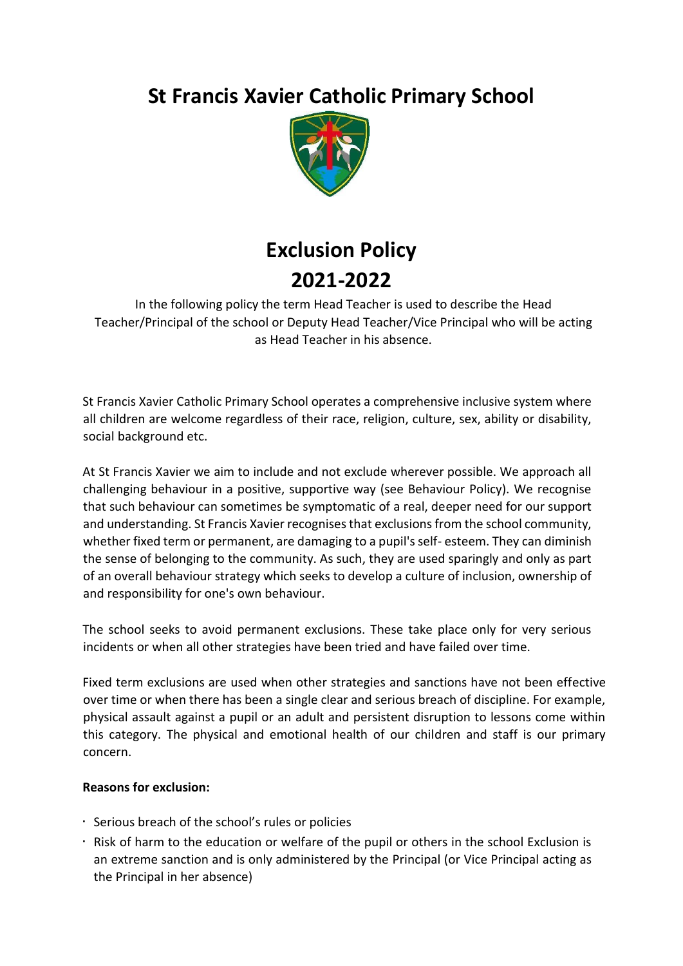# **St Francis Xavier Catholic Primary School**



# **Exclusion Policy 2021-2022**

In the following policy the term Head Teacher is used to describe the Head Teacher/Principal of the school or Deputy Head Teacher/Vice Principal who will be acting as Head Teacher in his absence.

St Francis Xavier Catholic Primary School operates a comprehensive inclusive system where all children are welcome regardless of their race, religion, culture, sex, ability or disability, social background etc.

At St Francis Xavier we aim to include and not exclude wherever possible. We approach all challenging behaviour in a positive, supportive way (see Behaviour Policy). We recognise that such behaviour can sometimes be symptomatic of a real, deeper need for our support and understanding. St Francis Xavier recognises that exclusions from the school community, whether fixed term or permanent, are damaging to a pupil's self- esteem. They can diminish the sense of belonging to the community. As such, they are used sparingly and only as part of an overall behaviour strategy which seeks to develop a culture of inclusion, ownership of and responsibility for one's own behaviour.

The school seeks to avoid permanent exclusions. These take place only for very serious incidents or when all other strategies have been tried and have failed over time.

Fixed term exclusions are used when other strategies and sanctions have not been effective over time or when there has been a single clear and serious breach of discipline. For example, physical assault against a pupil or an adult and persistent disruption to lessons come within this category. The physical and emotional health of our children and staff is our primary concern.

# **Reasons for exclusion:**

- Serious breach of the school's rules or policies
- Risk of harm to the education or welfare of the pupil or others in the school Exclusion is an extreme sanction and is only administered by the Principal (or Vice Principal acting as the Principal in her absence)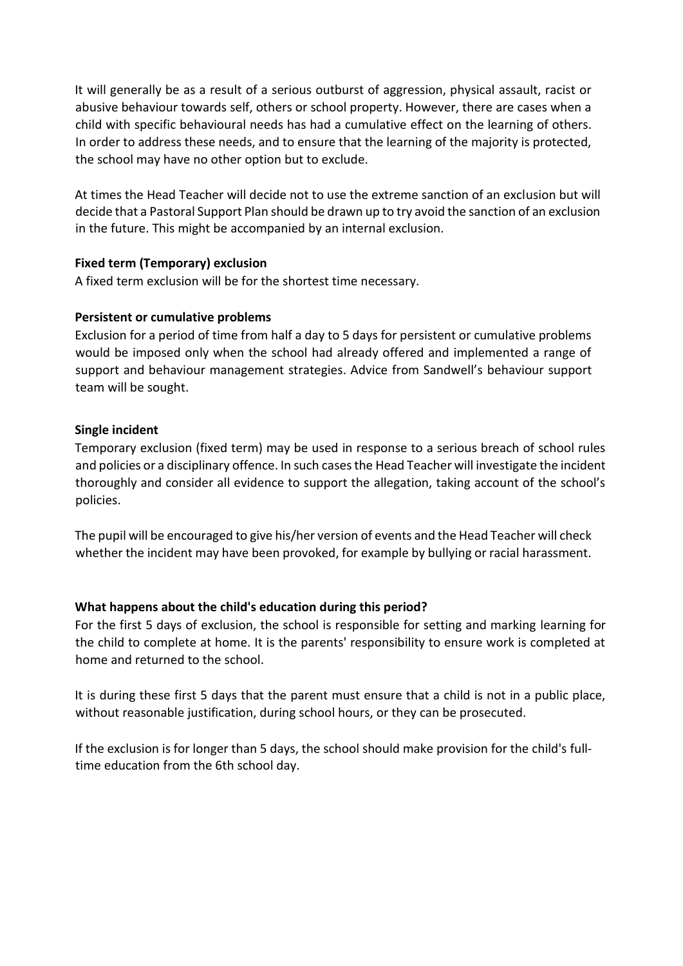It will generally be as a result of a serious outburst of aggression, physical assault, racist or abusive behaviour towards self, others or school property. However, there are cases when a child with specific behavioural needs has had a cumulative effect on the learning of others. In order to address these needs, and to ensure that the learning of the majority is protected, the school may have no other option but to exclude.

At times the Head Teacher will decide not to use the extreme sanction of an exclusion but will decide that a Pastoral Support Plan should be drawn up to try avoid the sanction of an exclusion in the future. This might be accompanied by an internal exclusion.

# **Fixed term (Temporary) exclusion**

A fixed term exclusion will be for the shortest time necessary.

# **Persistent or cumulative problems**

Exclusion for a period of time from half a day to 5 days for persistent or cumulative problems would be imposed only when the school had already offered and implemented a range of support and behaviour management strategies. Advice from Sandwell's behaviour support team will be sought.

# **Single incident**

Temporary exclusion (fixed term) may be used in response to a serious breach of school rules and policies or a disciplinary offence. In such cases the Head Teacher will investigate the incident thoroughly and consider all evidence to support the allegation, taking account of the school's policies.

The pupil will be encouraged to give his/her version of events and the Head Teacher will check whether the incident may have been provoked, for example by bullying or racial harassment.

# **What happens about the child's education during this period?**

For the first 5 days of exclusion, the school is responsible for setting and marking learning for the child to complete at home. It is the parents' responsibility to ensure work is completed at home and returned to the school.

It is during these first 5 days that the parent must ensure that a child is not in a public place, without reasonable justification, during school hours, or they can be prosecuted.

If the exclusion is for longer than 5 days, the school should make provision for the child's fulltime education from the 6th school day.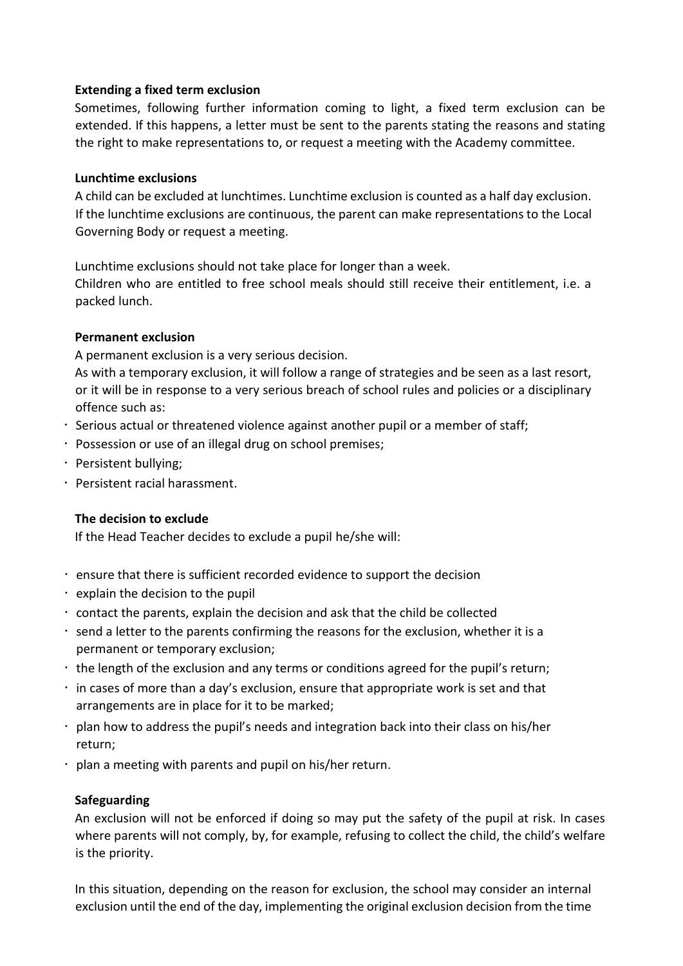#### **Extending a fixed term exclusion**

Sometimes, following further information coming to light, a fixed term exclusion can be extended. If this happens, a letter must be sent to the parents stating the reasons and stating the right to make representations to, or request a meeting with the Academy committee.

# **Lunchtime exclusions**

A child can be excluded at lunchtimes. Lunchtime exclusion is counted as a half day exclusion. If the lunchtime exclusions are continuous, the parent can make representations to the Local Governing Body or request a meeting.

Lunchtime exclusions should not take place for longer than a week.

Children who are entitled to free school meals should still receive their entitlement, i.e. a packed lunch.

# **Permanent exclusion**

A permanent exclusion is a very serious decision.

As with a temporary exclusion, it will follow a range of strategies and be seen as a last resort, or it will be in response to a very serious breach of school rules and policies or a disciplinary offence such as:

- Serious actual or threatened violence against another pupil or a member of staff;
- Possession or use of an illegal drug on school premises;
- Persistent bullying;
- Persistent racial harassment.

#### **The decision to exclude**

If the Head Teacher decides to exclude a pupil he/she will:

- ensure that there is sufficient recorded evidence to support the decision
- $\cdot$  explain the decision to the pupil
- contact the parents, explain the decision and ask that the child be collected
- $\cdot$  send a letter to the parents confirming the reasons for the exclusion, whether it is a permanent or temporary exclusion;
- the length of the exclusion and any terms or conditions agreed for the pupil's return;
- in cases of more than a day's exclusion, ensure that appropriate work is set and that arrangements are in place for it to be marked;
- plan how to address the pupil's needs and integration back into their class on his/her return;
- plan a meeting with parents and pupil on his/her return.

#### **Safeguarding**

An exclusion will not be enforced if doing so may put the safety of the pupil at risk. In cases where parents will not comply, by, for example, refusing to collect the child, the child's welfare is the priority.

In this situation, depending on the reason for exclusion, the school may consider an internal exclusion until the end of the day, implementing the original exclusion decision from the time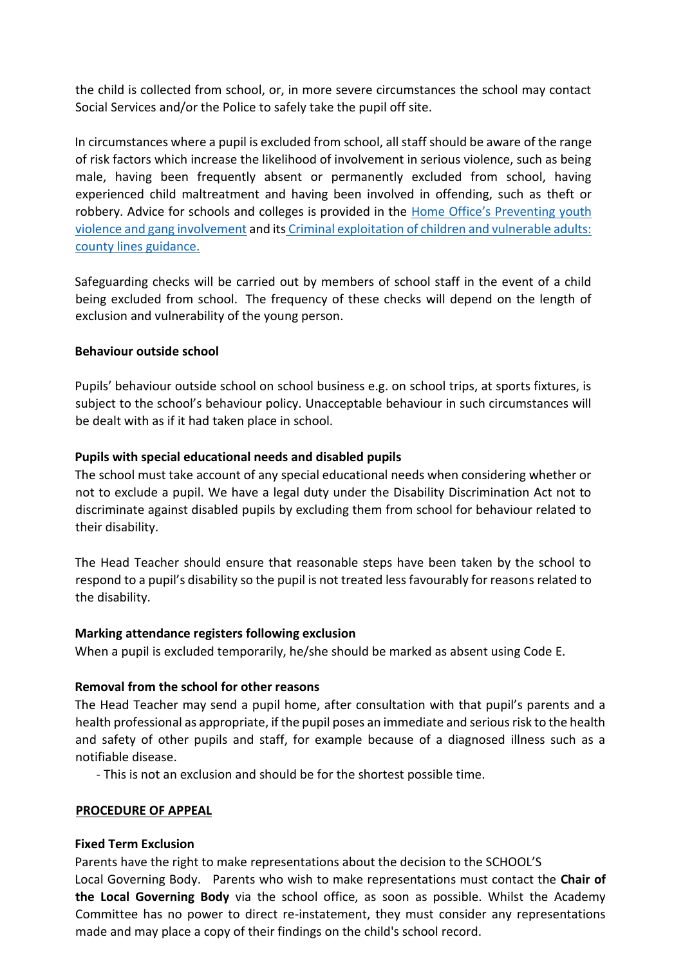the child is collected from school, or, in more severe circumstances the school may contact Social Services and/or the Police to safely take the pupil off site.

In circumstances where a pupil is excluded from school, all staff should be aware of the range of risk factors which increase the likelihood of involvement in serious violence, such as being male, having been frequently absent or permanently excluded from school, having experienced child maltreatment and having been involved in offending, such as theft or robbery. Advice for schools and colleges is provided in the [Home Office's Preventing youth](https://www.gov.uk/government/publications/advice-to-schools-and-colleges-on-gangs-and-youth-violence)  [violence and gang involvement](https://www.gov.uk/government/publications/advice-to-schools-and-colleges-on-gangs-and-youth-violence) and its [Criminal exploitation of children and vulnerable adults:](https://www.gov.uk/government/publications/criminal-exploitation-of-children-and-vulnerable-adults-county-lines)  [county lines guidance.](https://www.gov.uk/government/publications/criminal-exploitation-of-children-and-vulnerable-adults-county-lines) 

Safeguarding checks will be carried out by members of school staff in the event of a child being excluded from school. The frequency of these checks will depend on the length of exclusion and vulnerability of the young person.

#### **Behaviour outside school**

Pupils' behaviour outside school on school business e.g. on school trips, at sports fixtures, is subject to the school's behaviour policy. Unacceptable behaviour in such circumstances will be dealt with as if it had taken place in school.

# **Pupils with special educational needs and disabled pupils**

The school must take account of any special educational needs when considering whether or not to exclude a pupil. We have a legal duty under the Disability Discrimination Act not to discriminate against disabled pupils by excluding them from school for behaviour related to their disability.

The Head Teacher should ensure that reasonable steps have been taken by the school to respond to a pupil's disability so the pupil is not treated less favourably for reasons related to the disability.

#### **Marking attendance registers following exclusion**

When a pupil is excluded temporarily, he/she should be marked as absent using Code E.

# **Removal from the school for other reasons**

The Head Teacher may send a pupil home, after consultation with that pupil's parents and a health professional as appropriate, if the pupil poses an immediate and serious risk to the health and safety of other pupils and staff, for example because of a diagnosed illness such as a notifiable disease.

- This is not an exclusion and should be for the shortest possible time.

#### **PROCEDURE OF APPEAL**

#### **Fixed Term Exclusion**

Parents have the right to make representations about the decision to the SCHOOL'S Local Governing Body. Parents who wish to make representations must contact the **Chair of the Local Governing Body** via the school office, as soon as possible. Whilst the Academy Committee has no power to direct re-instatement, they must consider any representations made and may place a copy of their findings on the child's school record.